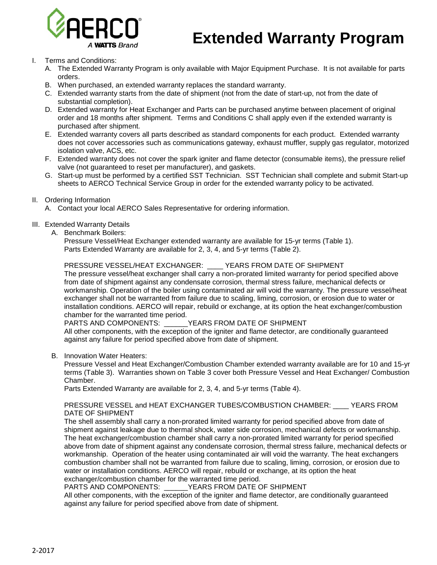

# **Extended Warranty Program**

- I. Terms and Conditions:
	- A. The Extended Warranty Program is only available with Major Equipment Purchase. It is not available for parts orders.
	- B. When purchased, an extended warranty replaces the standard warranty.
	- C. Extended warranty starts from the date of shipment (not from the date of start-up, not from the date of substantial completion).
	- D. Extended warranty for Heat Exchanger and Parts can be purchased anytime between placement of original order and 18 months after shipment. Terms and Conditions C shall apply even if the extended warranty is purchased after shipment.
	- E. Extended warranty covers all parts described as standard components for each product. Extended warranty does not cover accessories such as communications gateway, exhaust muffler, supply gas regulator, motorized isolation valve, ACS, etc.
	- F. Extended warranty does not cover the spark igniter and flame detector (consumable items), the pressure relief valve (not guaranteed to reset per manufacturer), and gaskets.
	- G. Start-up must be performed by a certified SST Technician. SST Technician shall complete and submit Start-up sheets to AERCO Technical Service Group in order for the extended warranty policy to be activated.
- II. Ordering Information
	- A. Contact your local AERCO Sales Representative for ordering information.
- III. Extended Warranty Details
	- A. Benchmark Boilers:

Pressure Vessel/Heat Exchanger extended warranty are available for 15-yr terms (Table 1). Parts Extended Warranty are available for 2, 3, 4, and 5-yr terms (Table 2).

### PRESSURE VESSEL/HEAT EXCHANGER: \_\_\_\_ YEARS FROM DATE OF SHIPMENT

The pressure vessel/heat exchanger shall carry a non-prorated limited warranty for period specified above from date of shipment against any condensate corrosion, thermal stress failure, mechanical defects or workmanship. Operation of the boiler using contaminated air will void the warranty. The pressure vessel/heat exchanger shall not be warranted from failure due to scaling, liming, corrosion, or erosion due to water or installation conditions. AERCO will repair, rebuild or exchange, at its option the heat exchanger/combustion chamber for the warranted time period.<br>PARTS AND COMPONENTS:

YEARS FROM DATE OF SHIPMENT

All other components, with the exception of the igniter and flame detector, are conditionally guaranteed against any failure for period specified above from date of shipment.

B. Innovation Water Heaters:

Pressure Vessel and Heat Exchanger/Combustion Chamber extended warranty available are for 10 and 15-yr terms (Table 3). Warranties shown on Table 3 cover both Pressure Vessel and Heat Exchanger/ Combustion Chamber.

Parts Extended Warranty are available for 2, 3, 4, and 5-yr terms (Table 4).

#### PRESSURE VESSEL and HEAT EXCHANGER TUBES/COMBUSTION CHAMBER: \_\_\_\_ YEARS FROM DATE OF SHIPMENT

The shell assembly shall carry a non-prorated limited warranty for period specified above from date of shipment against leakage due to thermal shock, water side corrosion, mechanical defects or workmanship. The heat exchanger/combustion chamber shall carry a non-prorated limited warranty for period specified above from date of shipment against any condensate corrosion, thermal stress failure, mechanical defects or workmanship. Operation of the heater using contaminated air will void the warranty. The heat exchangers combustion chamber shall not be warranted from failure due to scaling, liming, corrosion, or erosion due to water or installation conditions. AERCO will repair, rebuild or exchange, at its option the heat

exchanger/combustion chamber for the warranted time period.<br>PARTS AND COMPONENTS: YEARS FROM DATE C YEARS FROM DATE OF SHIPMENT

All other components, with the exception of the igniter and flame detector, are conditionally guaranteed against any failure for period specified above from date of shipment.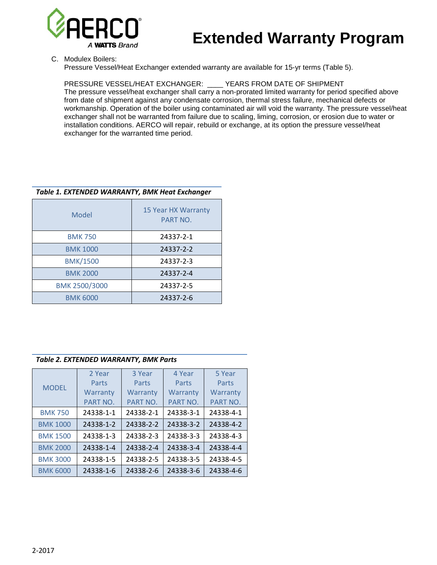

# **Extended Warranty Program**

C. Modulex Boilers:

Pressure Vessel/Heat Exchanger extended warranty are available for 15-yr terms (Table 5).

## PRESSURE VESSEL/HEAT EXCHANGER: \_\_\_\_ YEARS FROM DATE OF SHIPMENT

The pressure vessel/heat exchanger shall carry a non-prorated limited warranty for period specified above from date of shipment against any condensate corrosion, thermal stress failure, mechanical defects or workmanship. Operation of the boiler using contaminated air will void the warranty. The pressure vessel/heat exchanger shall not be warranted from failure due to scaling, liming, corrosion, or erosion due to water or installation conditions. AERCO will repair, rebuild or exchange, at its option the pressure vessel/heat exchanger for the warranted time period.

### *Table 1. EXTENDED WARRANTY, BMK Heat Exchanger*

| Model           | 15 Year HX Warranty<br>PART NO. |
|-----------------|---------------------------------|
| <b>BMK 750</b>  | 24337-2-1                       |
| <b>BMK 1000</b> | 24337-2-2                       |
| <b>BMK/1500</b> | 24337-2-3                       |
| <b>BMK 2000</b> | 24337-2-4                       |
| BMK 2500/3000   | 24337-2-5                       |
| <b>BMK 6000</b> | 24337-2-6                       |

#### *Table 2. EXTENDED WARRANTY, BMK Parts*

|                 | 2 Year    | 3 Year    | 4 Year    | 5 Year    |
|-----------------|-----------|-----------|-----------|-----------|
| <b>MODEL</b>    | Parts     | Parts     | Parts     | Parts     |
|                 | Warranty  | Warranty  | Warranty  | Warranty  |
|                 | PART NO.  | PART NO.  | PART NO.  | PART NO.  |
| <b>BMK 750</b>  | 24338-1-1 | 24338-2-1 | 24338-3-1 | 24338-4-1 |
| <b>BMK 1000</b> | 24338-1-2 | 24338-2-2 | 24338-3-2 | 24338-4-2 |
| <b>BMK 1500</b> | 24338-1-3 | 24338-2-3 | 24338-3-3 | 24338-4-3 |
| <b>BMK 2000</b> | 24338-1-4 | 24338-2-4 | 24338-3-4 | 24338-4-4 |
| <b>BMK 3000</b> | 24338-1-5 | 24338-2-5 | 24338-3-5 | 24338-4-5 |
| <b>BMK 6000</b> | 24338-1-6 | 24338-2-6 | 24338-3-6 | 24338-4-6 |